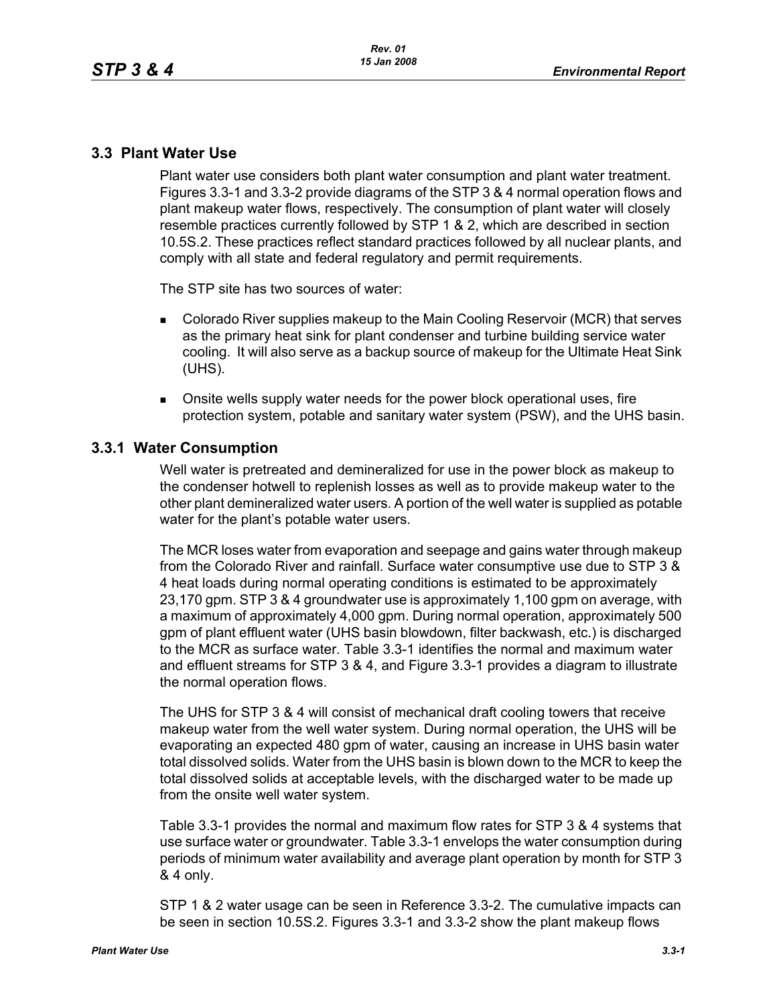# **3.3 Plant Water Use**

Plant water use considers both plant water consumption and plant water treatment. Figures 3.3-1 and 3.3-2 provide diagrams of the STP 3 & 4 normal operation flows and plant makeup water flows, respectively. The consumption of plant water will closely resemble practices currently followed by STP 1 & 2, which are described in section 10.5S.2. These practices reflect standard practices followed by all nuclear plants, and comply with all state and federal regulatory and permit requirements.

The STP site has two sources of water:

- **Colorado River supplies makeup to the Main Cooling Reservoir (MCR) that serves** as the primary heat sink for plant condenser and turbine building service water cooling. It will also serve as a backup source of makeup for the Ultimate Heat Sink (UHS).
- Onsite wells supply water needs for the power block operational uses, fire protection system, potable and sanitary water system (PSW), and the UHS basin.

### **3.3.1 Water Consumption**

Well water is pretreated and demineralized for use in the power block as makeup to the condenser hotwell to replenish losses as well as to provide makeup water to the other plant demineralized water users. A portion of the well water is supplied as potable water for the plant's potable water users.

The MCR loses water from evaporation and seepage and gains water through makeup from the Colorado River and rainfall. Surface water consumptive use due to STP 3 & 4 heat loads during normal operating conditions is estimated to be approximately 23,170 gpm. STP 3 & 4 groundwater use is approximately 1,100 gpm on average, with a maximum of approximately 4,000 gpm. During normal operation, approximately 500 gpm of plant effluent water (UHS basin blowdown, filter backwash, etc.) is discharged to the MCR as surface water. Table 3.3-1 identifies the normal and maximum water and effluent streams for STP 3 & 4, and Figure 3.3-1 provides a diagram to illustrate the normal operation flows.

The UHS for STP 3 & 4 will consist of mechanical draft cooling towers that receive makeup water from the well water system. During normal operation, the UHS will be evaporating an expected 480 gpm of water, causing an increase in UHS basin water total dissolved solids. Water from the UHS basin is blown down to the MCR to keep the total dissolved solids at acceptable levels, with the discharged water to be made up from the onsite well water system.

Table 3.3-1 provides the normal and maximum flow rates for STP 3 & 4 systems that use surface water or groundwater. Table 3.3-1 envelops the water consumption during periods of minimum water availability and average plant operation by month for STP 3 & 4 only.

STP 1 & 2 water usage can be seen in Reference 3.3-2. The cumulative impacts can be seen in section 10.5S.2. Figures 3.3-1 and 3.3-2 show the plant makeup flows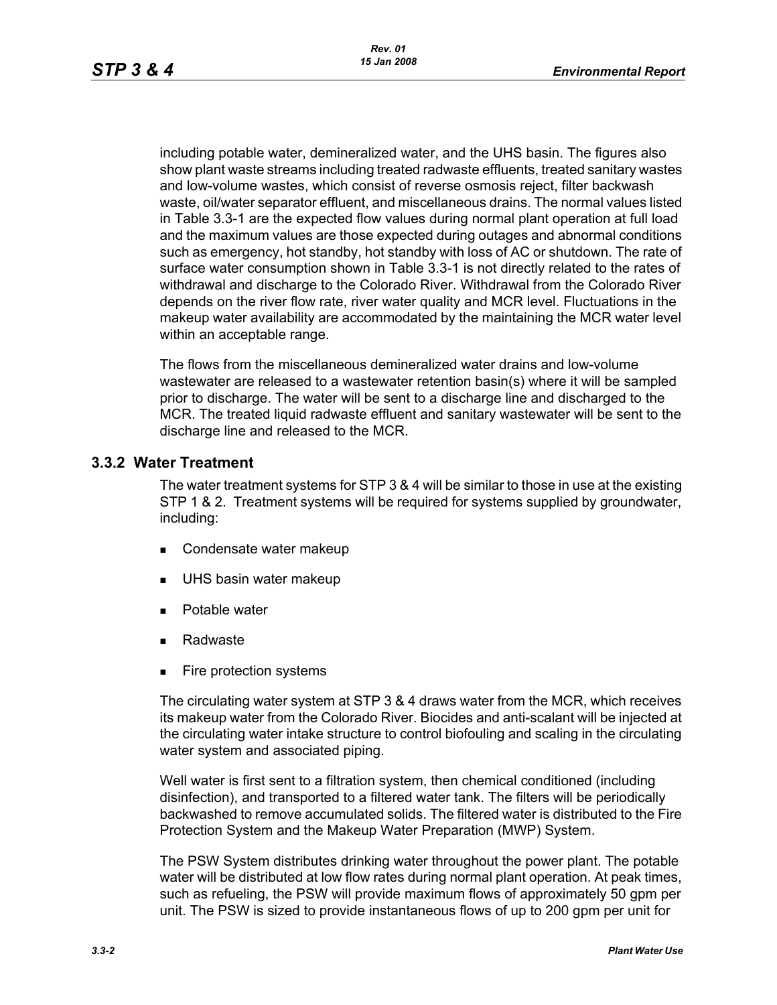including potable water, demineralized water, and the UHS basin. The figures also show plant waste streams including treated radwaste effluents, treated sanitary wastes and low-volume wastes, which consist of reverse osmosis reject, filter backwash waste, oil/water separator effluent, and miscellaneous drains. The normal values listed in Table 3.3-1 are the expected flow values during normal plant operation at full load and the maximum values are those expected during outages and abnormal conditions such as emergency, hot standby, hot standby with loss of AC or shutdown. The rate of surface water consumption shown in Table 3.3-1 is not directly related to the rates of withdrawal and discharge to the Colorado River. Withdrawal from the Colorado River depends on the river flow rate, river water quality and MCR level. Fluctuations in the makeup water availability are accommodated by the maintaining the MCR water level within an acceptable range.

The flows from the miscellaneous demineralized water drains and low-volume wastewater are released to a wastewater retention basin(s) where it will be sampled prior to discharge. The water will be sent to a discharge line and discharged to the MCR. The treated liquid radwaste effluent and sanitary wastewater will be sent to the discharge line and released to the MCR.

#### **3.3.2 Water Treatment**

The water treatment systems for STP 3 & 4 will be similar to those in use at the existing STP 1 & 2. Treatment systems will be required for systems supplied by groundwater, including:

- Condensate water makeup
- UHS basin water makeup
- **Potable water**
- Radwaste
- **Fire protection systems**

The circulating water system at STP 3 & 4 draws water from the MCR, which receives its makeup water from the Colorado River. Biocides and anti-scalant will be injected at the circulating water intake structure to control biofouling and scaling in the circulating water system and associated piping.

Well water is first sent to a filtration system, then chemical conditioned (including disinfection), and transported to a filtered water tank. The filters will be periodically backwashed to remove accumulated solids. The filtered water is distributed to the Fire Protection System and the Makeup Water Preparation (MWP) System.

The PSW System distributes drinking water throughout the power plant. The potable water will be distributed at low flow rates during normal plant operation. At peak times, such as refueling, the PSW will provide maximum flows of approximately 50 gpm per unit. The PSW is sized to provide instantaneous flows of up to 200 gpm per unit for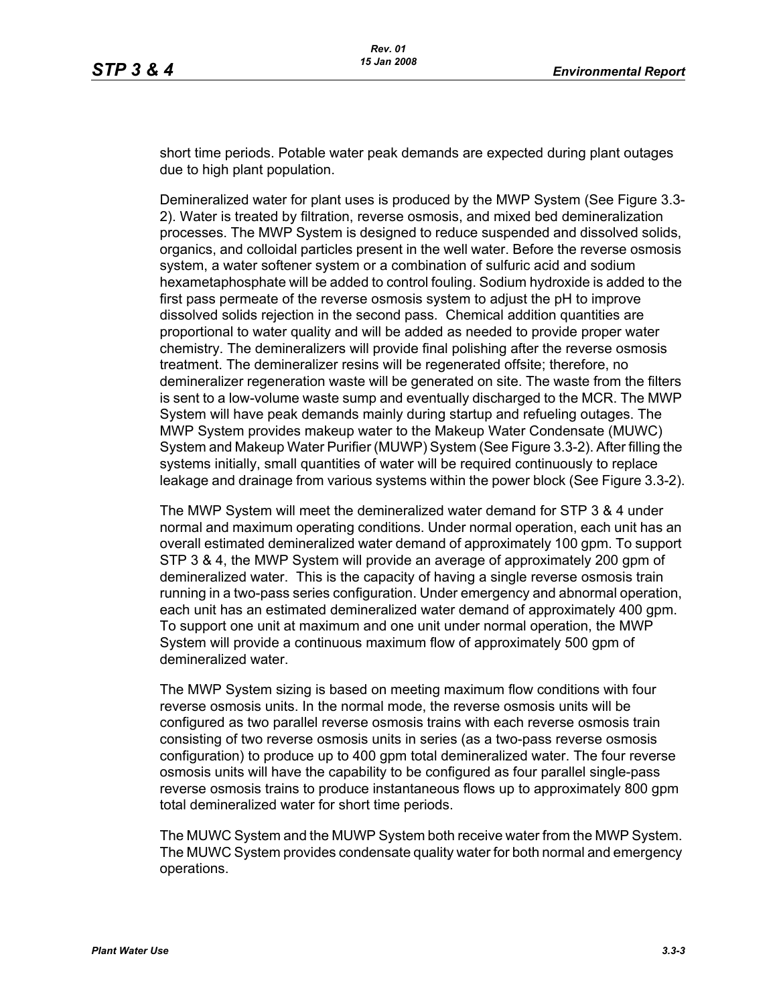short time periods. Potable water peak demands are expected during plant outages due to high plant population.

Demineralized water for plant uses is produced by the MWP System (See Figure 3.3- 2). Water is treated by filtration, reverse osmosis, and mixed bed demineralization processes. The MWP System is designed to reduce suspended and dissolved solids, organics, and colloidal particles present in the well water. Before the reverse osmosis system, a water softener system or a combination of sulfuric acid and sodium hexametaphosphate will be added to control fouling. Sodium hydroxide is added to the first pass permeate of the reverse osmosis system to adjust the pH to improve dissolved solids rejection in the second pass. Chemical addition quantities are proportional to water quality and will be added as needed to provide proper water chemistry. The demineralizers will provide final polishing after the reverse osmosis treatment. The demineralizer resins will be regenerated offsite; therefore, no demineralizer regeneration waste will be generated on site. The waste from the filters is sent to a low-volume waste sump and eventually discharged to the MCR. The MWP System will have peak demands mainly during startup and refueling outages. The MWP System provides makeup water to the Makeup Water Condensate (MUWC) System and Makeup Water Purifier (MUWP) System (See Figure 3.3-2). After filling the systems initially, small quantities of water will be required continuously to replace leakage and drainage from various systems within the power block (See Figure 3.3-2).

The MWP System will meet the demineralized water demand for STP 3 & 4 under normal and maximum operating conditions. Under normal operation, each unit has an overall estimated demineralized water demand of approximately 100 gpm. To support STP 3 & 4, the MWP System will provide an average of approximately 200 gpm of demineralized water. This is the capacity of having a single reverse osmosis train running in a two-pass series configuration. Under emergency and abnormal operation, each unit has an estimated demineralized water demand of approximately 400 gpm. To support one unit at maximum and one unit under normal operation, the MWP System will provide a continuous maximum flow of approximately 500 gpm of demineralized water.

The MWP System sizing is based on meeting maximum flow conditions with four reverse osmosis units. In the normal mode, the reverse osmosis units will be configured as two parallel reverse osmosis trains with each reverse osmosis train consisting of two reverse osmosis units in series (as a two-pass reverse osmosis configuration) to produce up to 400 gpm total demineralized water. The four reverse osmosis units will have the capability to be configured as four parallel single-pass reverse osmosis trains to produce instantaneous flows up to approximately 800 gpm total demineralized water for short time periods.

The MUWC System and the MUWP System both receive water from the MWP System. The MUWC System provides condensate quality water for both normal and emergency operations.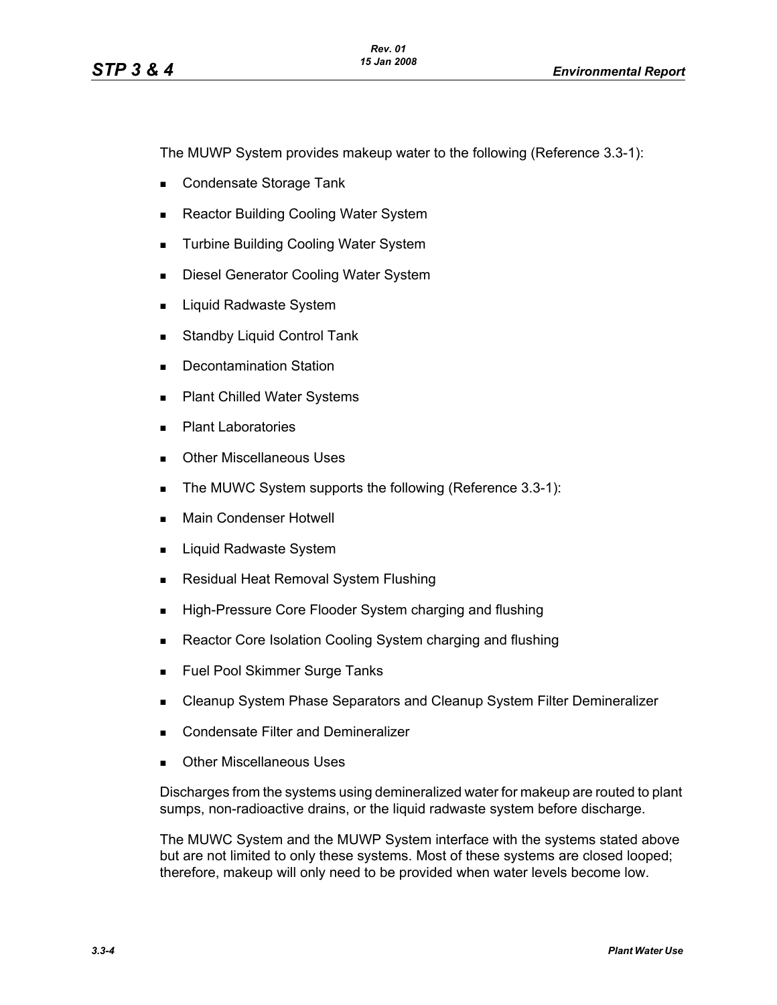The MUWP System provides makeup water to the following (Reference 3.3-1):

- Condensate Storage Tank
- Reactor Building Cooling Water System
- **Turbine Building Cooling Water System**
- Diesel Generator Cooling Water System
- **Liquid Radwaste System**
- **Standby Liquid Control Tank**
- **Decontamination Station**
- **Plant Chilled Water Systems**
- **Plant Laboratories**
- **Dubber Miscellaneous Uses**
- The MUWC System supports the following (Reference 3.3-1):
- **Main Condenser Hotwell**
- **Liquid Radwaste System**
- **Residual Heat Removal System Flushing**
- **High-Pressure Core Flooder System charging and flushing**
- Reactor Core Isolation Cooling System charging and flushing
- **Fuel Pool Skimmer Surge Tanks**
- **EXEC** Cleanup System Phase Separators and Cleanup System Filter Demineralizer
- **Condensate Filter and Demineralizer**
- Other Miscellaneous Uses

Discharges from the systems using demineralized water for makeup are routed to plant sumps, non-radioactive drains, or the liquid radwaste system before discharge.

The MUWC System and the MUWP System interface with the systems stated above but are not limited to only these systems. Most of these systems are closed looped; therefore, makeup will only need to be provided when water levels become low.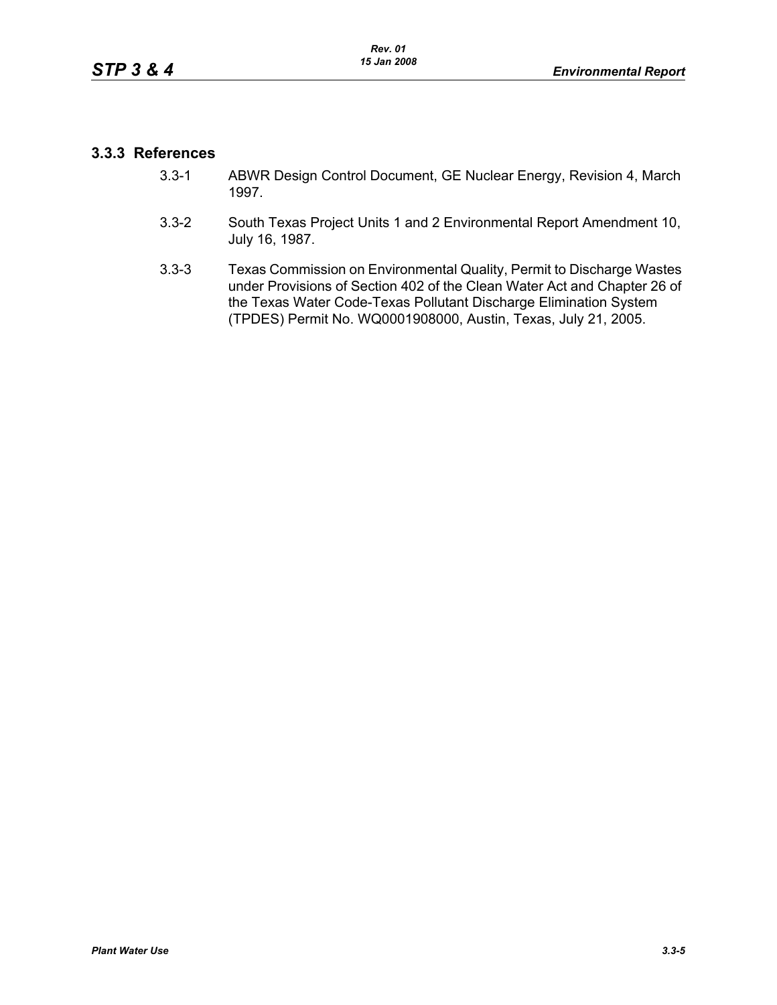# **3.3.3 References**

- 3.3-1 ABWR Design Control Document, GE Nuclear Energy, Revision 4, March 1997.
- 3.3-2 South Texas Project Units 1 and 2 Environmental Report Amendment 10, July 16, 1987.
- 3.3-3 Texas Commission on Environmental Quality, Permit to Discharge Wastes under Provisions of Section 402 of the Clean Water Act and Chapter 26 of the Texas Water Code-Texas Pollutant Discharge Elimination System (TPDES) Permit No. WQ0001908000, Austin, Texas, July 21, 2005.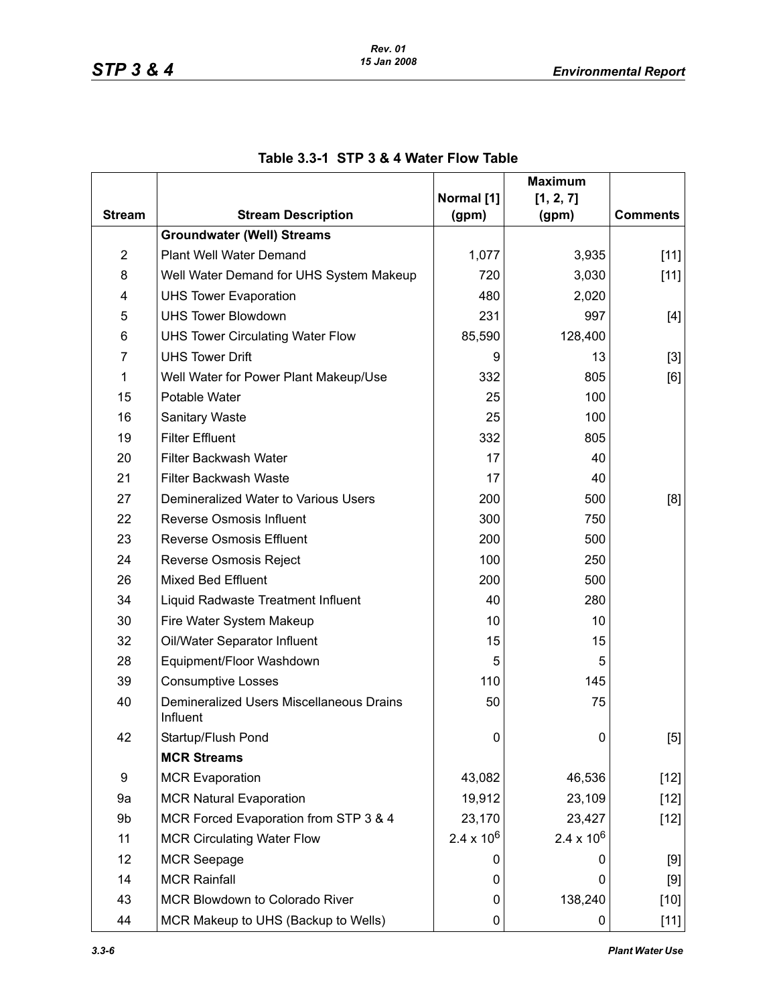|                         |                                                      |                     | <b>Maximum</b>     |                 |
|-------------------------|------------------------------------------------------|---------------------|--------------------|-----------------|
| <b>Stream</b>           | <b>Stream Description</b>                            | Normal [1]<br>(gpm) | [1, 2, 7]<br>(gpm) | <b>Comments</b> |
|                         | <b>Groundwater (Well) Streams</b>                    |                     |                    |                 |
| $\overline{\mathbf{c}}$ | Plant Well Water Demand                              | 1,077               | 3,935              | $[11]$          |
| 8                       | Well Water Demand for UHS System Makeup              | 720                 | 3,030              | $[11]$          |
| 4                       | <b>UHS Tower Evaporation</b>                         | 480                 | 2,020              |                 |
| 5                       | <b>UHS Tower Blowdown</b>                            | 231                 | 997                | $[4]$           |
| 6                       | <b>UHS Tower Circulating Water Flow</b>              | 85,590              | 128,400            |                 |
| $\overline{7}$          | <b>UHS Tower Drift</b>                               | 9                   | 13                 | $[3]$           |
| 1                       | Well Water for Power Plant Makeup/Use                | 332                 | 805                | [6]             |
| 15                      | Potable Water                                        | 25                  | 100                |                 |
| 16                      | Sanitary Waste                                       | 25                  | 100                |                 |
| 19                      | <b>Filter Effluent</b>                               | 332                 | 805                |                 |
| 20                      | <b>Filter Backwash Water</b>                         | 17                  | 40                 |                 |
| 21                      | <b>Filter Backwash Waste</b>                         | 17                  | 40                 |                 |
| 27                      | Demineralized Water to Various Users                 | 200                 | 500                | [8]             |
| 22                      | <b>Reverse Osmosis Influent</b>                      | 300                 | 750                |                 |
| 23                      | <b>Reverse Osmosis Effluent</b>                      | 200                 | 500                |                 |
| 24                      | Reverse Osmosis Reject                               | 100                 | 250                |                 |
| 26                      | <b>Mixed Bed Effluent</b>                            | 200                 | 500                |                 |
| 34                      | Liquid Radwaste Treatment Influent                   | 40                  | 280                |                 |
| 30                      | Fire Water System Makeup                             | 10                  | 10                 |                 |
| 32                      | Oil/Water Separator Influent                         | 15                  | 15                 |                 |
| 28                      | Equipment/Floor Washdown                             | 5                   | 5                  |                 |
| 39                      | <b>Consumptive Losses</b>                            | 110                 | 145                |                 |
| 40                      | Demineralized Users Miscellaneous Drains<br>Influent | 50                  | 75                 |                 |
| 42                      | Startup/Flush Pond                                   | 0                   | $\mathbf 0$        | [5]             |
|                         | <b>MCR Streams</b>                                   |                     |                    |                 |
| 9                       | <b>MCR Evaporation</b>                               | 43,082              | 46,536             | $[12]$          |
| 9a                      | <b>MCR Natural Evaporation</b>                       | 19,912              | 23,109             | $[12]$          |
| 9b                      | MCR Forced Evaporation from STP 3 & 4                | 23,170              | 23,427             | $[12]$          |
| 11                      | <b>MCR Circulating Water Flow</b>                    | $2.4 \times 10^{6}$ | $2.4 \times 10^6$  |                 |
| 12                      | <b>MCR Seepage</b>                                   | 0                   | 0                  | $[9]$           |
| 14                      | <b>MCR Rainfall</b>                                  | 0                   | 0                  | [9]             |
| 43                      | <b>MCR Blowdown to Colorado River</b>                | 0                   | 138,240            | $[10]$          |
| 44                      | MCR Makeup to UHS (Backup to Wells)                  | 0                   | 0                  | $[11]$          |

# **Table 3.3-1 STP 3 & 4 Water Flow Table**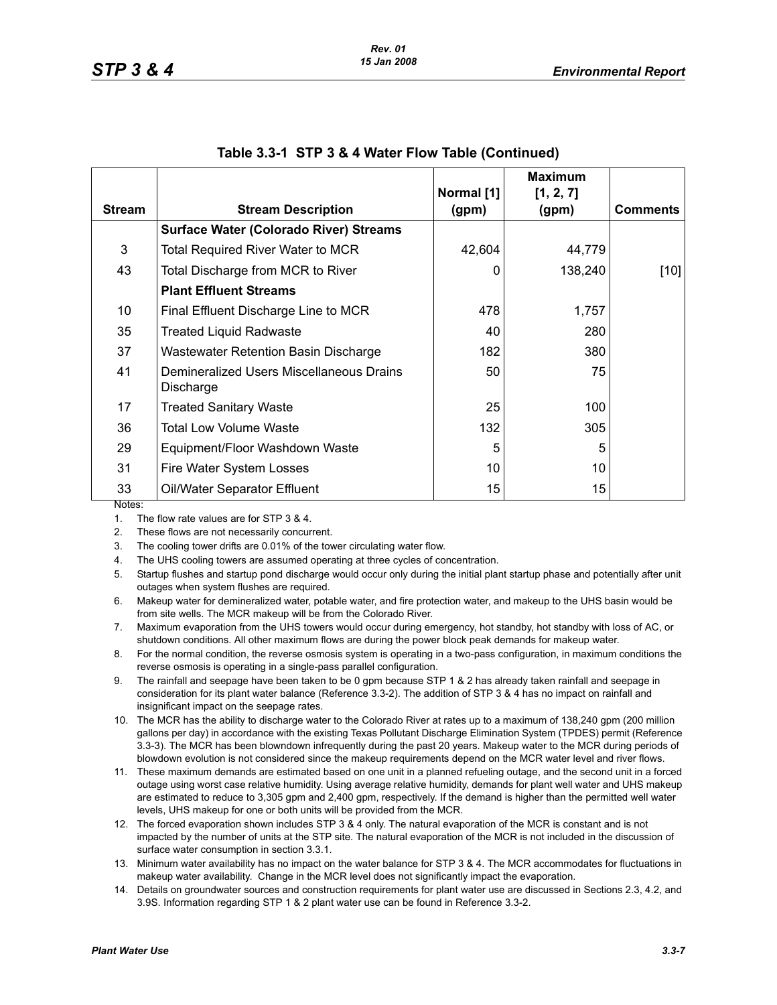|               |                                                       | Normal [1] | <b>Maximum</b><br>[1, 2, 7] |                 |
|---------------|-------------------------------------------------------|------------|-----------------------------|-----------------|
| <b>Stream</b> | <b>Stream Description</b>                             | (gpm)      | (gpm)                       | <b>Comments</b> |
|               | <b>Surface Water (Colorado River) Streams</b>         |            |                             |                 |
| 3             | <b>Total Required River Water to MCR</b>              | 42,604     | 44,779                      |                 |
| 43            | Total Discharge from MCR to River                     | 0          | 138,240                     | $[10]$          |
|               | <b>Plant Effluent Streams</b>                         |            |                             |                 |
| 10            | Final Effluent Discharge Line to MCR                  | 478        | 1,757                       |                 |
| 35            | <b>Treated Liquid Radwaste</b>                        | 40         | 280                         |                 |
| 37            | <b>Wastewater Retention Basin Discharge</b>           | 182        | 380                         |                 |
| 41            | Demineralized Users Miscellaneous Drains<br>Discharge | 50         | 75                          |                 |
| 17            | <b>Treated Sanitary Waste</b>                         | 25         | 100                         |                 |
| 36            | <b>Total Low Volume Waste</b>                         | 132        | 305                         |                 |
| 29            | Equipment/Floor Washdown Waste                        | 5          | 5                           |                 |
| 31            | Fire Water System Losses                              | 10         | 10                          |                 |
| 33<br>Notoe:  | Oil/Water Separator Effluent                          | 15         | 15                          |                 |

|  |  | Table 3.3-1 STP 3 & 4 Water Flow Table (Continued) |  |  |
|--|--|----------------------------------------------------|--|--|
|--|--|----------------------------------------------------|--|--|

Notes:

1. The flow rate values are for STP 3 & 4.

2. These flows are not necessarily concurrent.

3. The cooling tower drifts are 0.01% of the tower circulating water flow.

4. The UHS cooling towers are assumed operating at three cycles of concentration.

5. Startup flushes and startup pond discharge would occur only during the initial plant startup phase and potentially after unit outages when system flushes are required.

6. Makeup water for demineralized water, potable water, and fire protection water, and makeup to the UHS basin would be from site wells. The MCR makeup will be from the Colorado River.

7. Maximum evaporation from the UHS towers would occur during emergency, hot standby, hot standby with loss of AC, or shutdown conditions. All other maximum flows are during the power block peak demands for makeup water.

8. For the normal condition, the reverse osmosis system is operating in a two-pass configuration, in maximum conditions the reverse osmosis is operating in a single-pass parallel configuration.

9. The rainfall and seepage have been taken to be 0 gpm because STP 1 & 2 has already taken rainfall and seepage in consideration for its plant water balance (Reference 3.3-2). The addition of STP 3 & 4 has no impact on rainfall and insignificant impact on the seepage rates.

10. The MCR has the ability to discharge water to the Colorado River at rates up to a maximum of 138,240 gpm (200 million gallons per day) in accordance with the existing Texas Pollutant Discharge Elimination System (TPDES) permit (Reference 3.3-3). The MCR has been blowndown infrequently during the past 20 years. Makeup water to the MCR during periods of blowdown evolution is not considered since the makeup requirements depend on the MCR water level and river flows.

11. These maximum demands are estimated based on one unit in a planned refueling outage, and the second unit in a forced outage using worst case relative humidity. Using average relative humidity, demands for plant well water and UHS makeup are estimated to reduce to 3,305 gpm and 2,400 gpm, respectively. If the demand is higher than the permitted well water levels, UHS makeup for one or both units will be provided from the MCR.

12. The forced evaporation shown includes STP 3 & 4 only. The natural evaporation of the MCR is constant and is not impacted by the number of units at the STP site. The natural evaporation of the MCR is not included in the discussion of surface water consumption in section 3.3.1.

13. Minimum water availability has no impact on the water balance for STP 3 & 4. The MCR accommodates for fluctuations in makeup water availability. Change in the MCR level does not significantly impact the evaporation.

14. Details on groundwater sources and construction requirements for plant water use are discussed in Sections 2.3, 4.2, and 3.9S. Information regarding STP 1 & 2 plant water use can be found in Reference 3.3-2.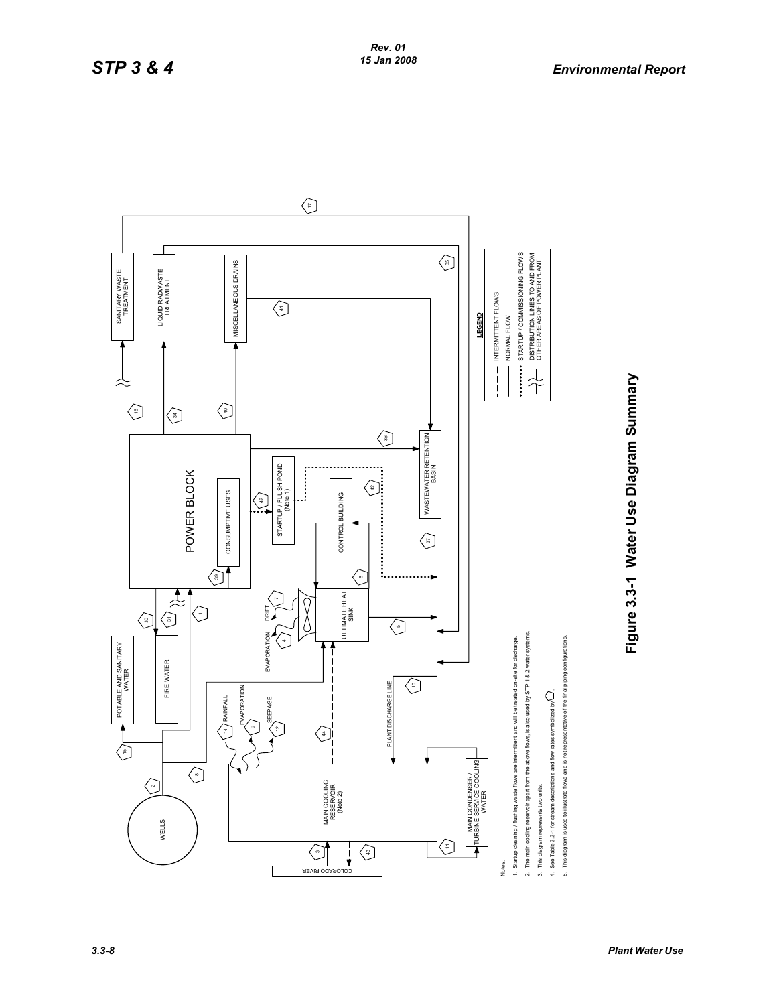

**Figure 3.3-1 Water Use Diagram Summary**

Figure 3.3-1 Water Use Diagram Summary